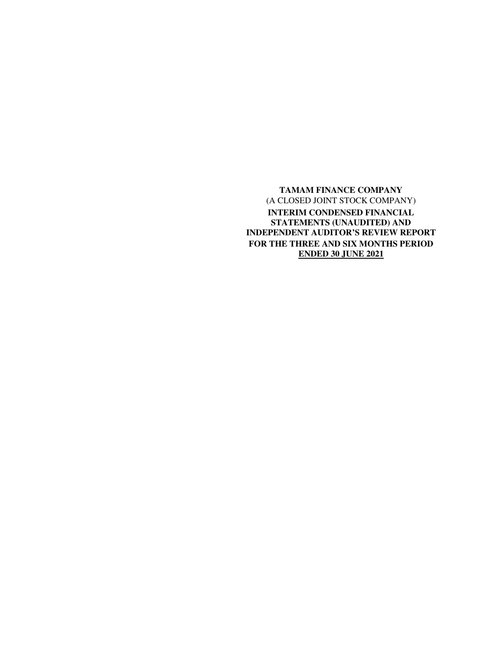**TAMAM FINANCE COMPANY**  (A CLOSED JOINT STOCK COMPANY) **INTERIM CONDENSED FINANCIAL STATEMENTS (UNAUDITED) AND INDEPENDENT AUDITOR'S REVIEW REPORT FOR THE THREE AND SIX MONTHS PERIOD ENDED 30 JUNE 2021**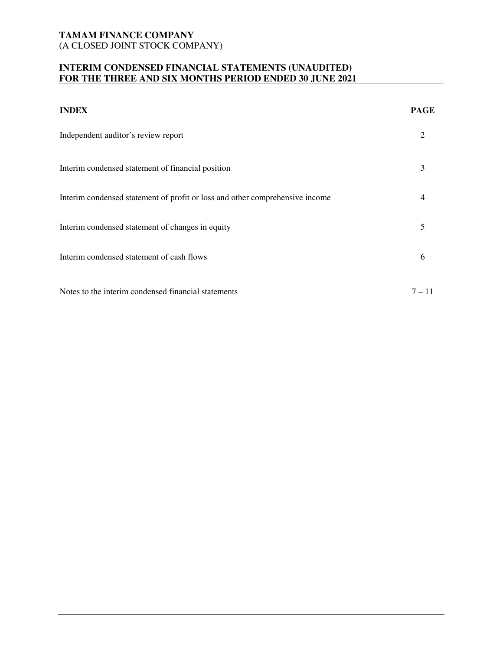# **INTERIM CONDENSED FINANCIAL STATEMENTS (UNAUDITED) FOR THE THREE AND SIX MONTHS PERIOD ENDED 30 JUNE 2021**

| <b>INDEX</b>                                                                 | <b>PAGE</b> |
|------------------------------------------------------------------------------|-------------|
| Independent auditor's review report                                          |             |
| Interim condensed statement of financial position                            | 3           |
| Interim condensed statement of profit or loss and other comprehensive income |             |
| Interim condensed statement of changes in equity                             | 5           |
| Interim condensed statement of cash flows                                    | 6           |
| Notes to the interim condensed financial statements                          | $7 - 11$    |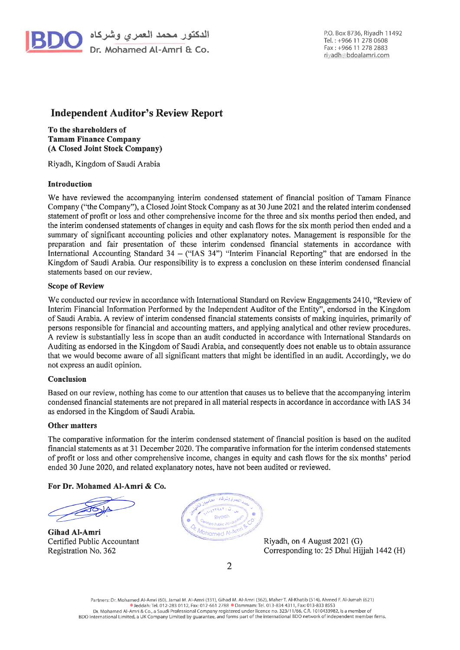

P.O. Box 8736, Rivadh 11492 Tel.: +966 11 278 0608 Fax: +966 11 278 2883 rivadh@bdoalamri.com

# **Independent Auditor's Review Report**

To the shareholders of **Tamam Finance Company** (A Closed Joint Stock Company)

Riyadh, Kingdom of Saudi Arabia

## **Introduction**

We have reviewed the accompanying interim condensed statement of financial position of Tamam Finance Company ("the Company"), a Closed Joint Stock Company as at 30 June 2021 and the related interim condensed statement of profit or loss and other comprehensive income for the three and six months period then ended, and the interim condensed statements of changes in equity and cash flows for the six month period then ended and a summary of significant accounting policies and other explanatory notes. Management is responsible for the preparation and fair presentation of these interim condensed financial statements in accordance with International Accounting Standard  $34 -$  ("IAS  $34$ ") "Interim Financial Reporting" that are endorsed in the Kingdom of Saudi Arabia. Our responsibility is to express a conclusion on these interim condensed financial statements based on our review.

#### **Scope of Review**

We conducted our review in accordance with International Standard on Review Engagements 2410, "Review of Interim Financial Information Performed by the Independent Auditor of the Entity", endorsed in the Kingdom of Saudi Arabia. A review of interim condensed financial statements consists of making inquiries, primarily of persons responsible for financial and accounting matters, and applying analytical and other review procedures. A review is substantially less in scope than an audit conducted in accordance with International Standards on Auditing as endorsed in the Kingdom of Saudi Arabia, and consequently does not enable us to obtain assurance that we would become aware of all significant matters that might be identified in an audit. Accordingly, we do not express an audit opinion.

#### Conclusion

Based on our review, nothing has come to our attention that causes us to believe that the accompanying interim condensed financial statements are not prepared in all material respects in accordance in accordance with IAS 34 as endorsed in the Kingdom of Saudi Arabia.

#### **Other matters**

The comparative information for the interim condensed statement of financial position is based on the audited financial statements as at 31 December 2020. The comparative information for the interim condensed statements of profit or loss and other comprehensive income, changes in equity and cash flows for the six months' period ended 30 June 2020, and related explanatory notes, have not been audited or reviewed.

## For Dr. Mohamed Al-Amri & Co.

**Gihad Al-Amri** Certified Public Accountant Registration No. 362



Riyadh, on 4 August 2021 (G) Corresponding to: 25 Dhul Hijjah 1442 (H)

 $\overline{2}$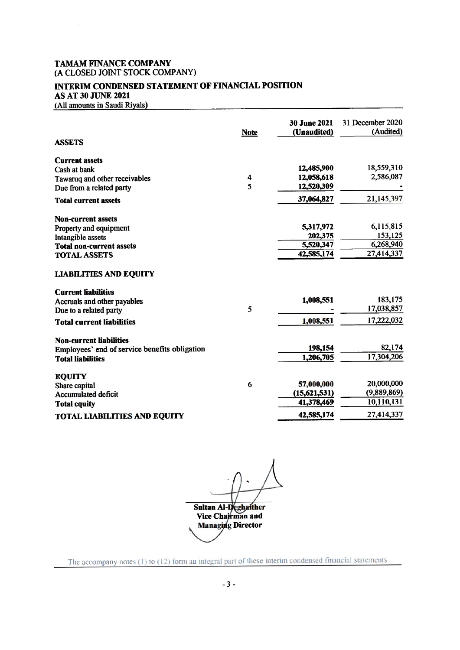# **INTERIM CONDENSED STATEMENT OF FINANCIAL POSITION AS AT 30 JUNE 2021**

(All amounts in Saudi Riyals)

| <b>ASSETS</b>                                 | <b>Note</b> | <b>30 June 2021</b><br>(Unaudited) | 31 December 2020<br>(Audited) |
|-----------------------------------------------|-------------|------------------------------------|-------------------------------|
| <b>Current assets</b>                         |             |                                    |                               |
| Cash at bank                                  |             | 12,485,900                         | 18,559,310                    |
| Tawaruq and other receivables                 | 4           | 12,058,618                         | 2,586,087                     |
| Due from a related party                      | 5           | 12,520,309                         |                               |
| <b>Total current assets</b>                   |             | 37,064,827                         | 21,145,397                    |
| <b>Non-current assets</b>                     |             |                                    |                               |
| Property and equipment                        |             | 5,317,972                          | 6,115,815                     |
| <b>Intangible assets</b>                      |             | 202,375                            | 153,125                       |
| <b>Total non-current assets</b>               |             | 5,520,347                          | 6,268,940                     |
| <b>TOTAL ASSETS</b>                           |             | 42,585,174                         | 27,414,337                    |
| <b>LIABILITIES AND EQUITY</b>                 |             |                                    |                               |
| <b>Current liabilities</b>                    |             |                                    |                               |
| Accruals and other payables                   |             | 1,008,551                          | 183,175                       |
| Due to a related party                        | 5           |                                    | 17,038,857                    |
| <b>Total current liabilities</b>              |             | 1,008,551                          | 17,222,032                    |
| <b>Non-current liabilities</b>                |             |                                    |                               |
| Employees' end of service benefits obligation |             | 198,154                            | 82,174                        |
| <b>Total liabilities</b>                      |             | 1,206,705                          | 17,304,206                    |
| <b>EQUITY</b>                                 |             |                                    |                               |
| Share capital                                 | 6           | 57,000,000                         | 20,000,000                    |
| <b>Accumulated deficit</b>                    |             | (15,621,531)                       | (9,889,869)                   |
| <b>Total equity</b>                           |             | 41,378,469                         | 10,110,131                    |
| <b>TOTAL LIABILITIES AND EQUITY</b>           |             | 42,585,174                         | 27,414,337                    |

**Sultan Al-Deghatther<br>
Vice Chairman and<br>
Managing Director** 

The accompany notes (1) to (12) form an integral part of these interim condensed financial statements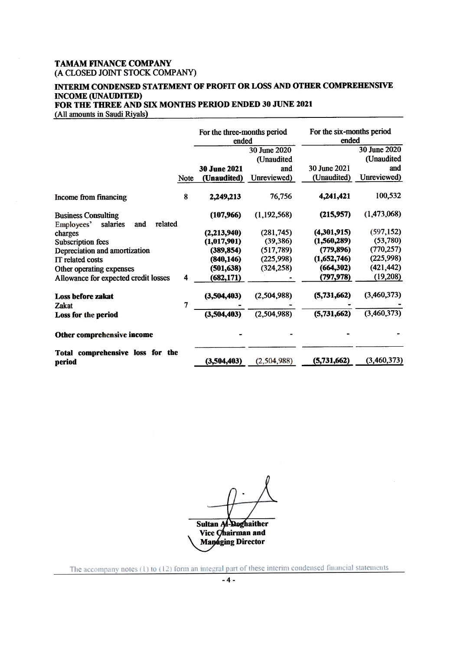# INTERIM CONDENSED STATEMENT OF PROFIT OR LOSS AND OTHER COMPREHENSIVE **INCOME (UNAUDITED)** FOR THE THREE AND SIX MONTHS PERIOD ENDED 30 JUNE 2021

(All amounts in Saudi Riyals)

|                                                                        |      | For the three-months period<br>ended |                            | For the six-months period<br>ended |                            |
|------------------------------------------------------------------------|------|--------------------------------------|----------------------------|------------------------------------|----------------------------|
|                                                                        |      |                                      | 30 June 2020<br>(Unaudited |                                    | 30 June 2020<br>(Unaudited |
|                                                                        |      | 30 June 2021                         | and                        | 30 June 2021                       | and                        |
|                                                                        |      |                                      |                            |                                    | Unreviewed)                |
|                                                                        | Note | (Unaudited)                          | Unreviewed)                | (Unaudited)                        |                            |
| Income from financing                                                  | 8    | 2,249,213                            | 76,756                     | 4,241,421                          | 100,532                    |
| <b>Business Consulting</b><br>related<br>salaries<br>Employees'<br>and |      | (107,966)                            | (1, 192, 568)              | (215,957)                          | (1,473,068)                |
| charges                                                                |      | (2,213,940)                          | (281, 745)                 | (4,301,915)                        | (597, 152)                 |
| <b>Subscription fees</b>                                               |      | (1,017,901)                          | (39, 386)                  | (1, 560, 289)                      | (53,780)                   |
| Depreciation and amortization                                          |      | (389, 854)                           | (517, 789)                 | (779, 896)                         | (770, 257)                 |
| IT related costs                                                       |      | (840, 146)                           | (225, 998)                 | (1,652,746)                        | (225,998)                  |
| Other operating expenses                                               |      | (501, 638)                           | (324, 258)                 | (664, 302)                         | (421, 442)                 |
| Allowance for expected credit losses                                   | 4    | (682, 171)                           |                            | (797, 978)                         | (19,208)                   |
| <b>Loss before zakat</b><br>Zakat                                      | 7    | (3,504,403)                          | (2,504,988)                | (5,731,662)                        | (3,460,373)                |
| Loss for the period                                                    |      | (3,504,403)                          | (2,504,988)                | (5,731,662)                        | (3,460,373)                |
| Other comprehensive income                                             |      |                                      |                            |                                    |                            |
| Total comprehensive loss for the<br>period                             |      | (3,504,403)                          | (2, 504, 988)              | (5,731,662)                        | (3,460,373)                |

**Sultan Al-Deghaither** Vice Chairman and Managing Director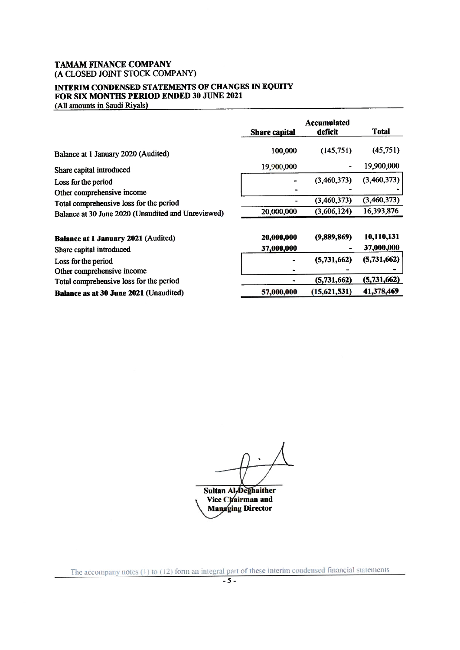# INTERIM CONDENSED STATEMENTS OF CHANGES IN EQUITY FOR SIX MONTHS PERIOD ENDED 30 JUNE 2021

(All amounts in Saudi Riyals)

|                                                    | <b>Share capital</b> | <b>Accumulated</b><br>deficit | <b>Total</b> |
|----------------------------------------------------|----------------------|-------------------------------|--------------|
| Balance at 1 January 2020 (Audited)                | 100,000              | (145,751)                     | (45,751)     |
| Share capital introduced                           | 19,900,000           |                               | 19,900,000   |
| Loss for the period                                |                      | (3,460,373)                   | (3,460,373)  |
| Other comprehensive income                         |                      |                               |              |
| Total comprehensive loss for the period            |                      | (3,460,373)                   | (3,460,373)  |
| Balance at 30 June 2020 (Unaudited and Unreviewed) | 20,000,000           | (3,606,124)                   | 16,393,876   |
|                                                    |                      |                               |              |
| Balance at 1 January 2021 (Audited)                | 20,000,000           | (9,889,869)                   | 10,110,131   |
| Share capital introduced                           | 37,000,000           |                               | 37,000,000   |
| Loss for the period                                |                      | (5,731,662)                   | (5,731,662)  |
| Other comprehensive income                         |                      |                               |              |
| Total comprehensive loss for the period            |                      | (5,731,662)                   | (5,731,662)  |
| Balance as at 30 June 2021 (Unaudited)             | 57,000,000           | (15, 621, 531)                | 41,378,469   |

Sultan Al-Deghaither

**Vice Chairman and<br>Managing Director** 

The accompany notes  $(1)$  to  $(12)$  form an integral part of these interim condensed financial statements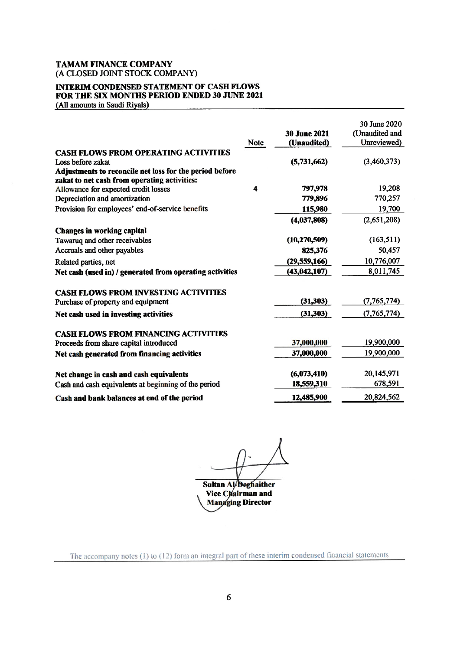# **INTERIM CONDENSED STATEMENT OF CASH FLOWS** FOR THE SIX MONTHS PERIOD ENDED 30 JUNE 2021

(All amounts in Saudi Riyals)

|                                                          |             |                     | 30 June 2020   |
|----------------------------------------------------------|-------------|---------------------|----------------|
|                                                          |             | <b>30 June 2021</b> | (Unaudited and |
|                                                          | <b>Note</b> | (Unaudited)         | Unreviewed)    |
| <b>CASH FLOWS FROM OPERATING ACTIVITIES</b>              |             |                     |                |
| Loss before zakat                                        |             | (5,731,662)         | (3,460,373)    |
| Adjustments to reconcile net loss for the period before  |             |                     |                |
| zakat to net cash from operating activities:             |             |                     |                |
| Allowance for expected credit losses                     | 4           | 797,978             | 19,208         |
| Depreciation and amortization                            |             | 779,896             | 770,257        |
| Provision for employees' end-of-service benefits         |             | 115,980             | 19,700         |
|                                                          |             | (4,037,808)         | (2,651,208)    |
| <b>Changes in working capital</b>                        |             |                     |                |
| Tawaruq and other receivables                            |             | (10, 270, 509)      | (163, 511)     |
| Accruals and other payables                              |             | 825,376             | 50,457         |
| Related parties, net                                     |             | (29, 559, 166)      | 10,776,007     |
| Net cash (used in) / generated from operating activities |             | (43, 042, 107)      | 8,011,745      |
|                                                          |             |                     |                |
| <b>CASH FLOWS FROM INVESTING ACTIVITIES</b>              |             |                     |                |
| Purchase of property and equipment                       |             | (31, 303)           | (7,765,774)    |
| Net cash used in investing activities                    |             | (31, 303)           | (7, 765, 774)  |
|                                                          |             |                     |                |
| <b>CASH FLOWS FROM FINANCING ACTIVITIES</b>              |             |                     |                |
| Proceeds from share capital introduced                   |             | 37,000,000          | 19,900,000     |
| Net cash generated from financing activities             |             | 37,000,000          | 19,900,000     |
| Net change in cash and cash equivalents                  |             | (6,073,410)         | 20,145,971     |
| Cash and cash equivalents at beginning of the period     |             | 18,559,310          | 678,591        |
| Cash and bank balances at end of the period              |             | 12,485,900          | 20,824,562     |
|                                                          |             |                     |                |

Sultan Al-Deghaither Vice Chairman and **Managing Director** 

The accompany notes  $(1)$  to  $(12)$  form an integral part of these interim condensed financial statements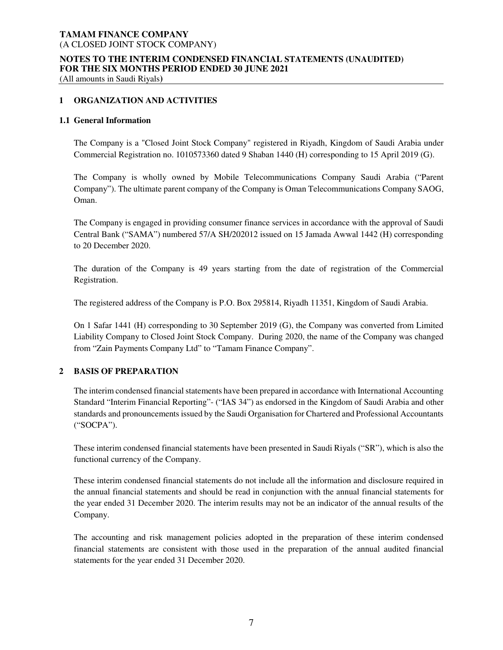## **NOTES TO THE INTERIM CONDENSED FINANCIAL STATEMENTS (UNAUDITED) FOR THE SIX MONTHS PERIOD ENDED 30 JUNE 2021**

(All amounts in Saudi Riyals**)** 

## **1 ORGANIZATION AND ACTIVITIES**

#### **1.1 General Information**

The Company is a "Closed Joint Stock Company" registered in Riyadh, Kingdom of Saudi Arabia under Commercial Registration no. 1010573360 dated 9 Shaban 1440 (H) corresponding to 15 April 2019 (G).

The Company is wholly owned by Mobile Telecommunications Company Saudi Arabia ("Parent Company"). The ultimate parent company of the Company is Oman Telecommunications Company SAOG, Oman.

The Company is engaged in providing consumer finance services in accordance with the approval of Saudi Central Bank ("SAMA") numbered 57/A SH/202012 issued on 15 Jamada Awwal 1442 (H) corresponding to 20 December 2020.

The duration of the Company is 49 years starting from the date of registration of the Commercial Registration.

The registered address of the Company is P.O. Box 295814, Riyadh 11351, Kingdom of Saudi Arabia.

On 1 Safar 1441 (H) corresponding to 30 September 2019 (G), the Company was converted from Limited Liability Company to Closed Joint Stock Company. During 2020, the name of the Company was changed from "Zain Payments Company Ltd" to "Tamam Finance Company".

## **2 BASIS OF PREPARATION**

The interim condensed financial statements have been prepared in accordance with International Accounting Standard "Interim Financial Reporting"- ("IAS 34") as endorsed in the Kingdom of Saudi Arabia and other standards and pronouncements issued by the Saudi Organisation for Chartered and Professional Accountants ("SOCPA").

These interim condensed financial statements have been presented in Saudi Riyals ("SR"), which is also the functional currency of the Company.

These interim condensed financial statements do not include all the information and disclosure required in the annual financial statements and should be read in conjunction with the annual financial statements for the year ended 31 December 2020. The interim results may not be an indicator of the annual results of the Company.

The accounting and risk management policies adopted in the preparation of these interim condensed financial statements are consistent with those used in the preparation of the annual audited financial statements for the year ended 31 December 2020.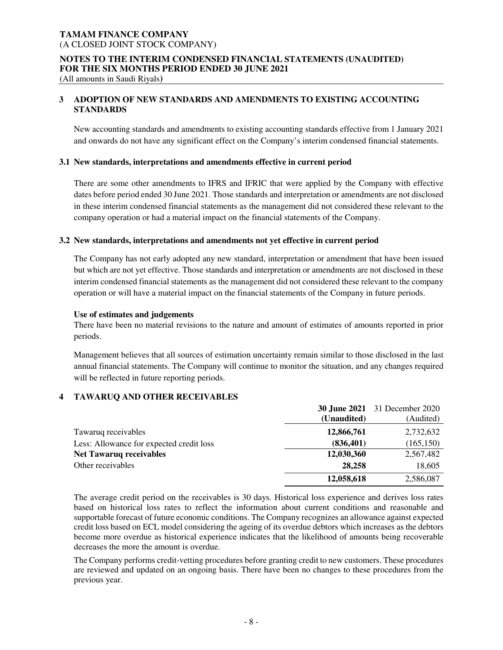#### **NOTES TO THE INTERIM CONDENSED FINANCIAL STATEMENTS (UNAUDITED) FOR THE SIX MONTHS PERIOD ENDED 30 JUNE 2021**

(All amounts in Saudi Riyals**)** 

# **3 ADOPTION OF NEW STANDARDS AND AMENDMENTS TO EXISTING ACCOUNTING STANDARDS**

New accounting standards and amendments to existing accounting standards effective from 1 January 2021 and onwards do not have any significant effect on the Company's interim condensed financial statements.

#### **3.1 New standards, interpretations and amendments effective in current period**

There are some other amendments to IFRS and IFRIC that were applied by the Company with effective dates before period ended 30 June 2021. Those standards and interpretation or amendments are not disclosed in these interim condensed financial statements as the management did not considered these relevant to the company operation or had a material impact on the financial statements of the Company.

#### **3.2 New standards, interpretations and amendments not yet effective in current period**

The Company has not early adopted any new standard, interpretation or amendment that have been issued but which are not yet effective. Those standards and interpretation or amendments are not disclosed in these interim condensed financial statements as the management did not considered these relevant to the company operation or will have a material impact on the financial statements of the Company in future periods.

#### **Use of estimates and judgements**

There have been no material revisions to the nature and amount of estimates of amounts reported in prior periods.

Management believes that all sources of estimation uncertainty remain similar to those disclosed in the last annual financial statements. The Company will continue to monitor the situation, and any changes required will be reflected in future reporting periods.

## **4 TAWARUQ AND OTHER RECEIVABLES**

|                                          |             | <b>30 June 2021</b> 31 December 2020 |
|------------------------------------------|-------------|--------------------------------------|
|                                          | (Unaudited) | (Audited)                            |
| Tawaruq receivables                      | 12,866,761  | 2,732,632                            |
| Less: Allowance for expected credit loss | (836, 401)  | (165, 150)                           |
| <b>Net Tawaruq receivables</b>           | 12,030,360  | 2,567,482                            |
| Other receivables                        | 28,258      | 18,605                               |
|                                          | 12,058,618  | 2,586,087                            |

The average credit period on the receivables is 30 days. Historical loss experience and derives loss rates based on historical loss rates to reflect the information about current conditions and reasonable and supportable forecast of future economic conditions. The Company recognizes an allowance against expected credit loss based on ECL model considering the ageing of its overdue debtors which increases as the debtors become more overdue as historical experience indicates that the likelihood of amounts being recoverable decreases the more the amount is overdue.

The Company performs credit-vetting procedures before granting credit to new customers. These procedures are reviewed and updated on an ongoing basis. There have been no changes to these procedures from the previous year.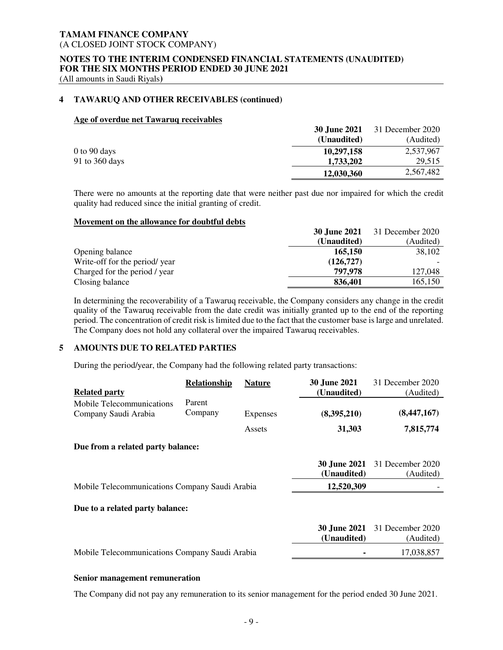## **NOTES TO THE INTERIM CONDENSED FINANCIAL STATEMENTS (UNAUDITED) FOR THE SIX MONTHS PERIOD ENDED 30 JUNE 2021**

(All amounts in Saudi Riyals**)** 

## **4 TAWARUQ AND OTHER RECEIVABLES (continued)**

#### **Age of overdue net Tawaruq receivables**

|                  | 30 June 2021 | 31 December 2020 |
|------------------|--------------|------------------|
|                  | (Unaudited)  | (Audited)        |
| $0$ to $90$ days | 10,297,158   | 2,537,967        |
| 91 to 360 days   | 1,733,202    | 29,515           |
|                  | 12,030,360   | 2,567,482        |

There were no amounts at the reporting date that were neither past due nor impaired for which the credit quality had reduced since the initial granting of credit.

#### **Movement on the allowance for doubtful debts**

|                               | <b>30 June 2021</b> | 31 December 2020 |
|-------------------------------|---------------------|------------------|
|                               | (Unaudited)         | (Audited)        |
| Opening balance               | 165,150             | 38,102           |
| Write-off for the period/year | (126, 727)          |                  |
| Charged for the period / year | 797.978             | 127,048          |
| Closing balance               | 836,401             | 165,150          |

In determining the recoverability of a Tawaruq receivable, the Company considers any change in the credit quality of the Tawaruq receivable from the date credit was initially granted up to the end of the reporting period. The concentration of credit risk is limited due to the fact that the customer base is large and unrelated. The Company does not hold any collateral over the impaired Tawaruq receivables.

# **5 AMOUNTS DUE TO RELATED PARTIES**

During the period/year, the Company had the following related party transactions:

|                                                | Relationship | <b>Nature</b>   | <b>30 June 2021</b>                | 31 December 2020                                  |
|------------------------------------------------|--------------|-----------------|------------------------------------|---------------------------------------------------|
| <b>Related party</b>                           |              |                 | (Unaudited)                        | (Audited)                                         |
| Mobile Telecommunications                      | Parent       |                 |                                    |                                                   |
| Company Saudi Arabia                           | Company      | <b>Expenses</b> | (8,395,210)                        | (8,447,167)                                       |
|                                                |              | Assets          | 31,303                             | 7,815,774                                         |
| Due from a related party balance:              |              |                 |                                    |                                                   |
|                                                |              |                 | <b>30 June 2021</b><br>(Unaudited) | 31 December 2020<br>(Audited)                     |
| Mobile Telecommunications Company Saudi Arabia |              |                 | 12,520,309                         |                                                   |
| Due to a related party balance:                |              |                 |                                    |                                                   |
|                                                |              |                 | (Unaudited)                        | <b>30 June 2021</b> 31 December 2020<br>(Audited) |
| Mobile Telecommunications Company Saudi Arabia |              |                 |                                    | 17,038,857                                        |
|                                                |              |                 |                                    |                                                   |

## **Senior management remuneration**

The Company did not pay any remuneration to its senior management for the period ended 30 June 2021.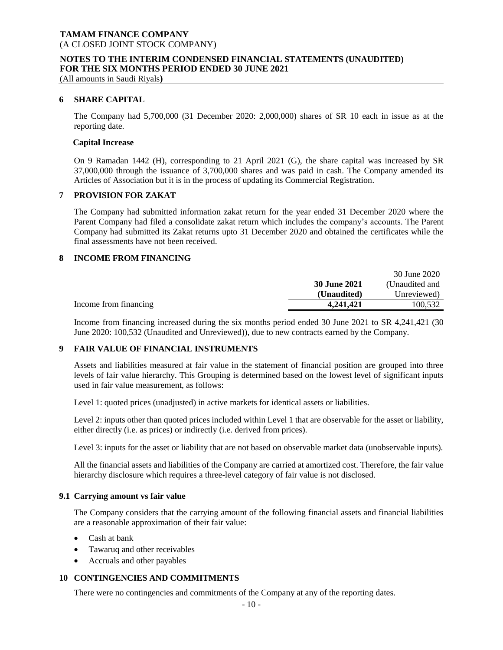#### **NOTES TO THE INTERIM CONDENSED FINANCIAL STATEMENTS (UNAUDITED) FOR THE SIX MONTHS PERIOD ENDED 30 JUNE 2021**

(All amounts in Saudi Riyals**)**

#### **6 SHARE CAPITAL**

The Company had 5,700,000 (31 December 2020: 2,000,000) shares of SR 10 each in issue as at the reporting date.

#### **Capital Increase**

On 9 Ramadan 1442 (H), corresponding to 21 April 2021 (G), the share capital was increased by SR 37,000,000 through the issuance of 3,700,000 shares and was paid in cash. The Company amended its Articles of Association but it is in the process of updating its Commercial Registration.

#### **7 PROVISION FOR ZAKAT**

The Company had submitted information zakat return for the year ended 31 December 2020 where the Parent Company had filed a consolidate zakat return which includes the company's accounts. The Parent Company had submitted its Zakat returns upto 31 December 2020 and obtained the certificates while the final assessments have not been received.

## **8 INCOME FROM FINANCING**

|                       |              | 30 June 2020   |
|-----------------------|--------------|----------------|
|                       | 30 June 2021 | (Unaudited and |
|                       | (Unaudited)  | Unreviewed)    |
| Income from financing | 4.241.421    | 100.532        |

Income from financing increased during the six months period ended 30 June 2021 to SR 4,241,421 (30 June 2020: 100,532 (Unaudited and Unreviewed)), due to new contracts earned by the Company.

## **9 FAIR VALUE OF FINANCIAL INSTRUMENTS**

Assets and liabilities measured at fair value in the statement of financial position are grouped into three levels of fair value hierarchy. This Grouping is determined based on the lowest level of significant inputs used in fair value measurement, as follows:

Level 1: quoted prices (unadjusted) in active markets for identical assets or liabilities.

Level 2: inputs other than quoted prices included within Level 1 that are observable for the asset or liability, either directly (i.e. as prices) or indirectly (i.e. derived from prices).

Level 3: inputs for the asset or liability that are not based on observable market data (unobservable inputs).

All the financial assets and liabilities of the Company are carried at amortized cost. Therefore, the fair value hierarchy disclosure which requires a three-level category of fair value is not disclosed.

#### **9.1 Carrying amount vs fair value**

The Company considers that the carrying amount of the following financial assets and financial liabilities are a reasonable approximation of their fair value:

- Cash at bank
- Tawaruq and other receivables
- Accruals and other payables

## **10 CONTINGENCIES AND COMMITMENTS**

There were no contingencies and commitments of the Company at any of the reporting dates.